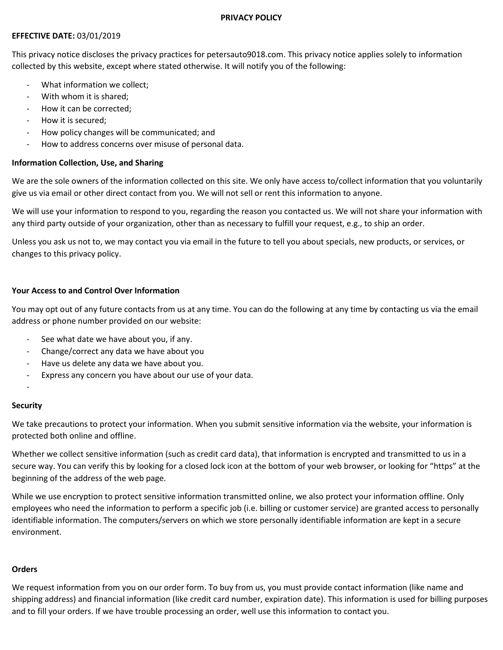#### PRIVACY POLICY

# EFFECTIVE DATE: 03/01/2019

This privacy notice discloses the privacy practices for petersauto9018.com. This privacy notice applies solely to information collected by this website, except where stated otherwise. It will notify you of the following:

- What information we collect:
- With whom it is shared;
- How it can be corrected:
- How it is secured;
- How policy changes will be communicated; and
- How to address concerns over misuse of personal data.

# Information Collection, Use, and Sharing

We are the sole owners of the information collected on this site. We only have access to/collect information that you voluntarily give us via email or other direct contact from you. We will not sell or rent this information to anyone.

We will use your information to respond to you, regarding the reason you contacted us. We will not share your information with any third party outside of your organization, other than as necessary to fulfill your request, e.g., to ship an order.

Unless you ask us not to, we may contact you via email in the future to tell you about specials, new products, or services, or changes to this privacy policy.

# Your Access to and Control Over Information

You may opt out of any future contacts from us at any time. You can do the following at any time by contacting us via the email address or phone number provided on our website:

- See what date we have about you, if any.
- Change/correct any data we have about you
- Have us delete any data we have about you.
- Express any concern you have about our use of your data.

# -

# **Security**

We take precautions to protect your information. When you submit sensitive information via the website, your information is protected both online and offline.

Whether we collect sensitive information (such as credit card data), that information is encrypted and transmitted to us in a secure way. You can verify this by looking for a closed lock icon at the bottom of your web browser, or looking for "https" at the beginning of the address of the web page.

While we use encryption to protect sensitive information transmitted online, we also protect your information offline. Only employees who need the information to perform a specific job (i.e. billing or customer service) are granted access to personally identifiable information. The computers/servers on which we store personally identifiable information are kept in a secure environment.

# **Orders**

We request information from you on our order form. To buy from us, you must provide contact information (like name and shipping address) and financial information (like credit card number, expiration date). This information is used for billing purposes and to fill your orders. If we have trouble processing an order, well use this information to contact you.